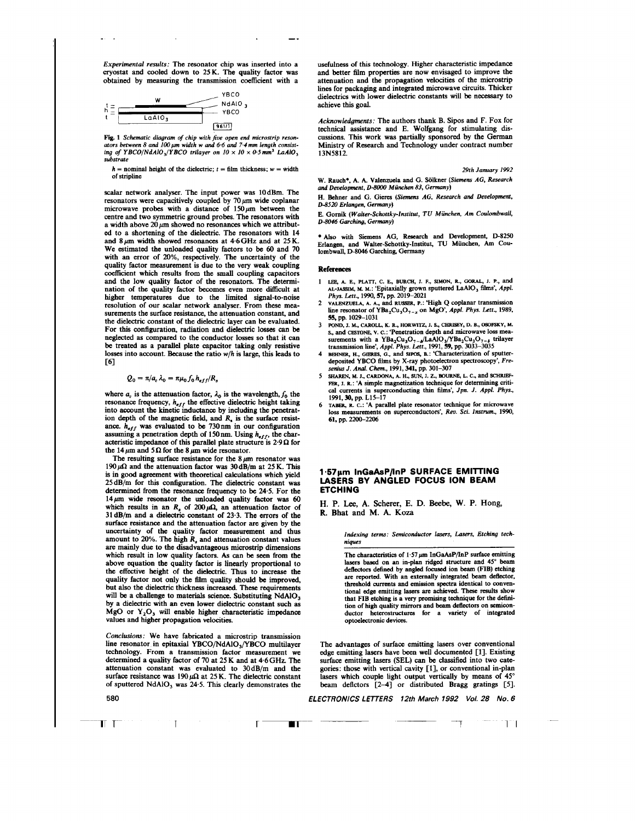*Experimental results:* The resonator chip was inserted into a cryostat and cooled down to  $25K$ . The quality factor was obtained by measuring the transmission coefficient with a



**[Fig.](#page-2-0) 1** *Schematic diagram of chip with* **fiw** *open* **end** *microstrip reson*ators between 8 and 100  $\mu$ m width w and 6.6 and 7.4 mm length consist*ing of YBCO*/NdAlO<sub>3</sub>/YBCO trilayer on  $10 \times 10 \times 0.5$  mm<sup>3</sup> LaAlO<sub>3</sub> *substrate* 

 $h =$  nominal height of the dielectric;  $t =$  film thickness;  $w =$  width of stripline

scalar network analyser. The input power was 10dBm. The resonators were capacitively coupled by  $70 \mu m$  wide coplanar microwave probes with a distance of  $150 \mu m$  between the centre and two symmetric ground probes. The resonators with a width above  $20 \mu m$  showed no resonances which we attributed to a shortening of the dielectric. The resonators with 14 and 8 **jm** width showed **resonances** at 4.6GHz and at 25 **K.**  We estimated the unloaded quality factors to be 60 and 70 with an error of 20%, respectively. The uncertainty of the quality factor measurement is due to the very weak coupling coefficient which results from the small coupling capacitors and the low quality factor of the resonators. The determination of the quality factor becomes even more difficult at higher temperatures due to the limited signal-to-noise resolution of our scalar network analyser. From these measurements the surface resistance, the attenuation constant, and the dielectric constant of the dielectric layer can be evaluated. For this configuration, radiation and dielectric losses *can* **be**  neglected **as** compared to the conductor **losses so** that it *can* be treated **as** a pdel plate capacitor taking only resistive **losses** into account. **Because** the ratio *w/h* is large, this leads to  $F61$ 

$$
Q_0 = \pi/a_c \lambda_0 = \pi \mu_0 f_0 h_{eff}/R_s
$$

where  $a_c$  is the attenuation factor,  $\lambda_0$  is the wavelength,  $f_0$  the resonance frequency,  $h_{eff}$  the effective dielectric height taking into account the kinetic inductance by including the penetration depth of the magnetic field, and  $R<sub>s</sub>$  is the surface resistance.  $h_{eff}$  was evaluated to be 730nm in our configuration assuming a penetration depth of 150 nm. Using  $h_{eff}$ , the characteristic impedance of this parallel plate structure is  $2.9 \Omega$  for the 14  $\mu$ m and 5  $\Omega$  for the 8  $\mu$ m wide resonator.

The resulting surface resistance for the  $8 \mu m$  resonator was 190  $\mu\Omega$  and the attenuation factor was 30 dB/m at 25 K. This is in good agreement with theoretical calculations which yield 25dB/m for this codguration. The dielectric constant was determined from the resonance frequency to be 24.5. For the  $14 \mu m$  wide resonator the unloaded quality factor was 60 which results in an  $R_s$  of  $200 \mu\Omega$ , an attenuation factor of 3ldB/m and a dielectric constant of 23.3. The **errors** of the surface resistance and the attenuation factor **are** given by the uncertainty of the quality factor measurement and thus amount to 20%. The high  $R<sub>s</sub>$  and attenuation constant values are mainly due to the disadvantageous microstrip dimensions which result in low quality factors. As can be **seen** from the above equation the quality factor is linearly proportional to the effective height of the dielectric. Thus to increase the quality factor not only the film quality should **be** improved, but also the dielectric thickness increased. These requirements will be a challenge to materials science. Substituting NdAIO<sub>3</sub> by a dielectric with an even lower dielectric constant such **as**  MgO or  $Y_2O_3$  will enable higher characteristic impedance values and higher propagation velocities.

*Conclusions:* We have fabricated **a** microstrip transmission line resonator in epitaxial YBCO/NdAIO,/YBCO multilayer technology. From a transmission factor measurement we determined a quality factor of 70 at 25 K and at 4.6 GHz. The attenuation constant was evaluated to  $30 \text{ dB/m}$  and the surface resistance was  $190 \mu\Omega$  at 25 K. The dielectric constant of sputtered NdA10, was 24.5. This clearly demonstrates the

usefulness of this technology. Higher characteristic impedance and better film properties are now envisaged to improve the attenuation and the propagation velocities of the microstrip lines for packaging and integrated microwave circuits. Thicker dielectrics with lower dielectric constants will be necessary to achieve this goal.

*Acknowledgments:* The authors thank B. Sipos and **F. Fox** for technical assistance and E. Wolfgang for stimulating discussions. This work was partially sponsored by the German Ministry of Research and Technology under contract number 13N58 12.

*29th January 1992* 

W. Rauch\*, A. A. Valenzuela and G. Sölkner *(Siemens AG, Research and Development, D-8000 Miinchen 83, Germany)*  H. khner and G. *Gieres (Siemens AG, Research and Development,* 

*D-85N) Erlangen, Germany)* 

E. **Gomik** ( Walter-Schottky-lnstitut, *TU Munchen, Am Coulombwall, D-8046 Garching, Germany)* 

 $\bullet$  Also with Siemens AG, Research and Development, D-8250 Erlangen, **and Walter-Schottky-Institut, TU** Miinchen, **Am Cou**lombwall, **D-8046** Garching, Germany

#### **References**

- 1 LEE, A. E., PLATT, C. E., BURCH, J. F., SIMON, R., GORAL, J. P., and<br>AL-JASSIM, M. M.: 'Epitaxially grown sputtered LaAlO<sub>3</sub> films', Appl.
- *Phys. Lett.*, 1990, 57, pp. 2019–2021<br>2 vALENZUELA, A. A., and RUSSER, P.: 'High Q coplanar transmission<br>line resonator of YBa<sub>2</sub>Cu<sub>3</sub>O<sub>7-x</sub> on MgO', Appl. Phys. Lett., 1989, **55, pp. 1029-1031**<br>**POND. J. M., CAROLL, K. R., HORWITZ, J. S., CHRISEY, D. B., OSOFSKY, M.**
- S., and CESTONE, V. C.: 'Penetration depth and microwave loss mea-<br>surements with a YBa<sub>2</sub>Cu<sub>3</sub>O<sub>7</sub>-L/LAAIO<sub>3</sub>/YBa<sub>2</sub>Cu<sub>3</sub>O<sub>7-3</sub> trilayer<br>transmission line', Appl. Phys. Lett., 1991, 59, pp. 3033-3035<br>4 BEHNER, H., GIERES **3 POND, I. M., CAROLL, K. R., HORWITZ,** J. **S.,** *CHRISey,* **D. B., OsOFsKY, M.**
- deposited **YBCO films** by X-ray photoelectron spectroscopy', *Fre-*
- **senius J. Anal. Chem., 1991, 341, pp. 301-307**<br> **5 SHAREN, M. J., CARDONA, A. H., SUN, J. Z., BOURNE, L. C., and SCHRIEP-FER, J. R.: 'A simple magnetization technique for determining criti***cal* currents in superconducting thin films', *Jpn. J. Appl. Phys.,*  **1991,30,** pp. **LIS-17**
- **6** TABER, **R. c.: 'A** parallel plate resonator technique for microwave loss measurements on superconductors', *Rev. Sci. Instrum.*, 1990, *61,* pp. **2200-2206**

## **1.57pm InGaAsP/lnP SURFACE EMllTlNG LASERS BY ANGLED FOCUS ION BEAM ETCHING**

**H. P.** Lee, **A. Scherer, E. D. Beebe, W. P. Hong, R. Bhat and M. A. Koza** 

> *Indexing terms: Semiconductor lasers, Lasers, Etching techniques*

The characteristics of 1.57  $\mu$ m InGaAsP/InP surface emitting lasers based on **an** in-plan ridged structure and **45"** beam deflectors defined by angled focused ion beam (FIB) etching **are** reported. With an externally integrated **beam** deflector, threshold **currents** and emission spectra identical **to** conven- tional edge emitting lasers **are** achieved. **These results** show that FIB etching is a very promising technique for the definition **of** high quality mirrors and beam detlectors on semiconductor heterostructures for a variety of integrated optoelectronic devices.

The advantages of surface emitting **lasers** over conventional edge emitting lasers have been well documented [1]. Existing surface emitting lasers **(SEL)** can be classified into two categories: those with vertical cavity [l]. or conventional in-plan lasers which couple light output vertically by means of 45" beam deflctors  $\left[2-4\right]$  or distributed Bragg gratings  $\left[5\right]$ .

*ELECTRONICS LETTERS 12th March 1992 Vol. 28 MO. 6* 

**n** T- I **r-r** 

*580* 

 $T$   $T$ 

- 
- ш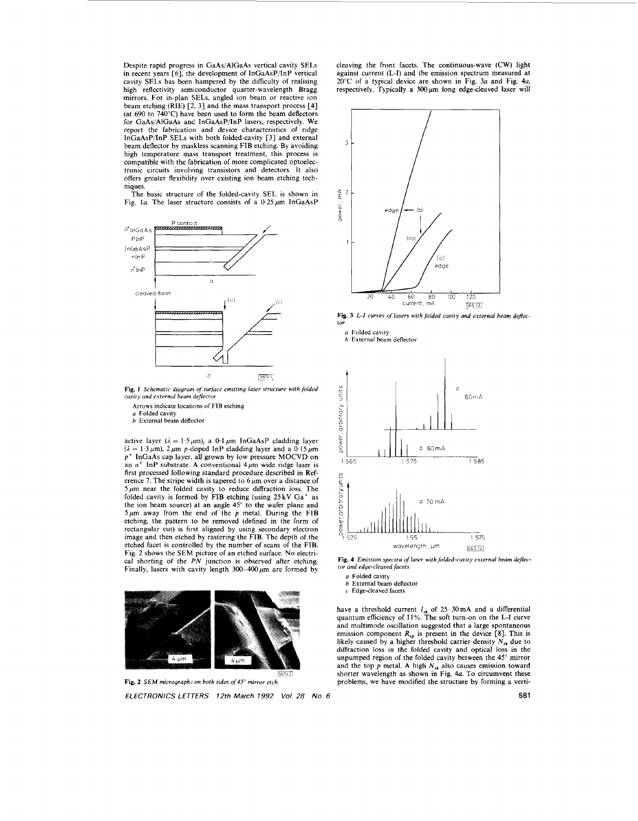Despite rapid progress in GaAs/AlGaAs vertical cavity SELs in recent years [6], the development of InGaAsP/InP vertical cavity SELs has been hampered by the difficulty of realising high reflectivity semiconductor quarter-wavelength Bragg mirrors. For in-plan SELs, angled ion beam or reactive ion beam etching **(RIE)** [2. 31 and the mass transport process [4] (at 690 to 740°C) have been used to form the beam deflectors for GaAs/AlGaAs and InCaAsP/InP lasers, respectively. We report the fabrication and device characteristics of ridge InGaAsP/InP **SELs** with both folded-cavity [3] and external beam deflector by maskless scanning FIB etching. By avoiding high temperature mass transport treatment, this process is compatible with the fabrication of more complicated optoelectronic circuits involving transistors and detectors. It also offers greater flexibility over existing ion beam etching techniques.

The basic structure of the folded-cavity SEL is shown in Fig. 1a. The laser structure consists of a  $0.25 \,\mu\text{m}$  InGaAsP



Fig. 1 Schematic diagram of surface emitting laser structure with folded *cavity and external beam deflector* 

- Arrows indicate locations of FIB etching
- *a* Folded cavity *h* External beam deflector

active layer ( $\lambda = 1.5 \mu m$ ), a 0.1  $\mu$ m InGaAsP cladding layer  $(\lambda = 1.3 \,\mu\text{m})$ ,  $2 \,\mu\text{m}$  p-doped InP cladding layer and a 0.15  $\mu$ m *p+* InGaAs cap layer, all grown by low pressure MOCVD on an  $n^+$  InP substrate. A conventional  $4 \mu m$  wide ridge laser is first processed followjng standard procedure described in Reference 7. The stripe width is tapered to  $6 \mu m$  over a distance of  $5 \mu m$  near the folded cavity to reduce diffraction loss. The folded cavity is formed by FIB etching (using 25 kV Ga+ **as**  the ion beam source) at an angle  $45^\circ$  to the wafer plane and  $5 \mu m$  away from the end of the  $p$  metal. During the FIB etching, the pattern to be removed (defined in the form of rectangular cut) is first aligned by using secondary electron image and then etched by rastering the FIB. The depth of the etched facet is controlled by the number of scans of the FIB. Fig. 2 shows the **SEM** picture of an etched surface. No electrical shorting of the *PN* junction is observed after etching. Finally, lasers with cavity length  $300-400 \mu m$  are formed by



**Fig. 2** *SEM micrograph.; on both sides of 45" mirror etch ELECTRONICS LETTERS 12rh March 1992 Vol. 28 No. 6* **581** 

cleaving the front facets. The continuous-wave (CW) light against current (L-I) and the emission spectrum measured at 20°C of a typical device are shown in Fig. *3a* and Fig. 4a, respectively. Typically a **300 pm** long edge-cleaved laser will



*to* 

*a* Folded cavity *<i>h* External beam deflector



**Fig. 4** *Emission spectra of laser wifh folded-cauity external beam dejector and edge-cleaved facers* 

a Folded cavity

- *h* External beam deflector
- Edge-cleaved facets

have a threshold current  $I_{th}$  of 25-30 mA and a differential quantum efficiency of 11%. The soft turn-on on the L-I curve and multimode oscillation suggested that a large spontaneous emission component  $R_{sp}$  is present in the device [8]. This is likely caused by a higher threshold carrier density  $N_{th}$  due to diffraction loss in the folded cavity and optical loss in the unpumped region of the folded cavity between the **45"** mirror and the top *p* metal. A high *N,,* also causes emission toward shorter wavelength as shown in Fig. 4a. To circumvent these problems, we have modified the structure by forming a verti